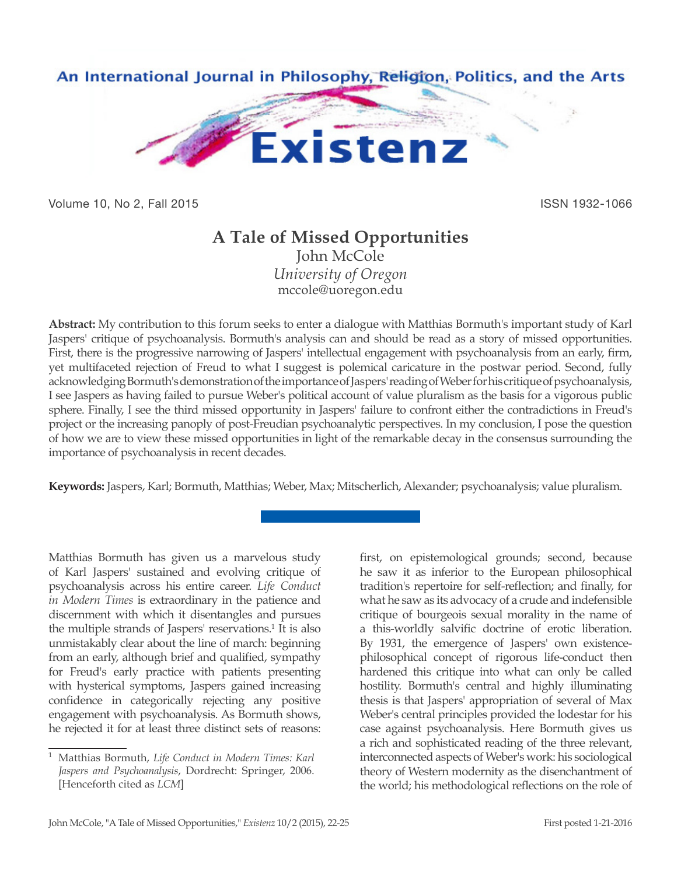

Volume 10, No 2, Fall 2015 **ISSN 1932-1066** 

## **A Tale of Missed Opportunities** John McCole *University of Oregon*

mccole@uoregon.edu

**Abstract:** My contribution to this forum seeks to enter a dialogue with Matthias Bormuth's important study of Karl Jaspers' critique of psychoanalysis. Bormuth's analysis can and should be read as a story of missed opportunities. First, there is the progressive narrowing of Jaspers' intellectual engagement with psychoanalysis from an early, firm, yet multifaceted rejection of Freud to what I suggest is polemical caricature in the postwar period. Second, fully acknowledging Bormuth's demonstration of the importance of Jaspers' reading of Weber for his critique of psychoanalysis, I see Jaspers as having failed to pursue Weber's political account of value pluralism as the basis for a vigorous public sphere. Finally, I see the third missed opportunity in Jaspers' failure to confront either the contradictions in Freud's project or the increasing panoply of post-Freudian psychoanalytic perspectives. In my conclusion, I pose the question of how we are to view these missed opportunities in light of the remarkable decay in the consensus surrounding the importance of psychoanalysis in recent decades.

**Keywords:** Jaspers, Karl; Bormuth, Matthias; Weber, Max; Mitscherlich, Alexander; psychoanalysis; value pluralism.

Matthias Bormuth has given us a marvelous study of Karl Jaspers' sustained and evolving critique of psychoanalysis across his entire career. *Life Conduct in Modern Times* is extraordinary in the patience and discernment with which it disentangles and pursues the multiple strands of Jaspers' reservations.<sup>1</sup> It is also unmistakably clear about the line of march: beginning from an early, although brief and qualified, sympathy for Freud's early practice with patients presenting with hysterical symptoms, Jaspers gained increasing confidence in categorically rejecting any positive engagement with psychoanalysis. As Bormuth shows, he rejected it for at least three distinct sets of reasons:

first, on epistemological grounds; second, because he saw it as inferior to the European philosophical tradition's repertoire for self-reflection; and finally, for what he saw as its advocacy of a crude and indefensible critique of bourgeois sexual morality in the name of a this-worldly salvific doctrine of erotic liberation. By 1931, the emergence of Jaspers' own existencephilosophical concept of rigorous life-conduct then hardened this critique into what can only be called hostility. Bormuth's central and highly illuminating thesis is that Jaspers' appropriation of several of Max Weber's central principles provided the lodestar for his case against psychoanalysis. Here Bormuth gives us a rich and sophisticated reading of the three relevant, interconnected aspects of Weber's work: his sociological theory of Western modernity as the disenchantment of the world; his methodological reflections on the role of

<sup>1</sup> Matthias Bormuth, *Life Conduct in Modern Times: Karl Jaspers and Psychoanalysis*, Dordrecht: Springer, 2006. [Henceforth cited as *LCM*]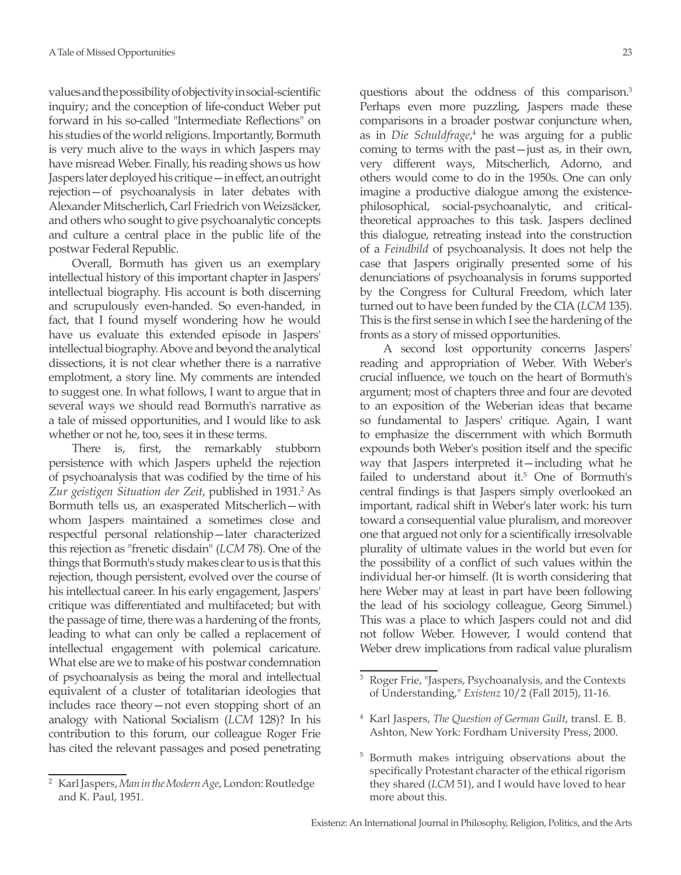values and the possibility of objectivity in social-scientific inquiry; and the conception of life-conduct Weber put forward in his so-called "Intermediate Reflections" on his studies of the world religions. Importantly, Bormuth is very much alive to the ways in which Jaspers may have misread Weber. Finally, his reading shows us how Jaspers later deployed his critique—in effect, an outright rejection—of psychoanalysis in later debates with Alexander Mitscherlich, Carl Friedrich von Weizsäcker, and others who sought to give psychoanalytic concepts and culture a central place in the public life of the postwar Federal Republic.

Overall, Bormuth has given us an exemplary intellectual history of this important chapter in Jaspers' intellectual biography. His account is both discerning and scrupulously even-handed. So even-handed, in fact, that I found myself wondering how he would have us evaluate this extended episode in Jaspers' intellectual biography. Above and beyond the analytical dissections, it is not clear whether there is a narrative emplotment, a story line. My comments are intended to suggest one. In what follows, I want to argue that in several ways we should read Bormuth's narrative as a tale of missed opportunities, and I would like to ask whether or not he, too, sees it in these terms.

There is, first, the remarkably stubborn persistence with which Jaspers upheld the rejection of psychoanalysis that was codified by the time of his Zur geistigen Situation der Zeit, published in 1931.<sup>2</sup> As Bormuth tells us, an exasperated Mitscherlich—with whom Jaspers maintained a sometimes close and respectful personal relationship—later characterized this rejection as "frenetic disdain" (*LCM* 78). One of the things that Bormuth's study makes clear to us is that this rejection, though persistent, evolved over the course of his intellectual career. In his early engagement, Jaspers' critique was differentiated and multifaceted; but with the passage of time, there was a hardening of the fronts, leading to what can only be called a replacement of intellectual engagement with polemical caricature. What else are we to make of his postwar condemnation of psychoanalysis as being the moral and intellectual equivalent of a cluster of totalitarian ideologies that includes race theory—not even stopping short of an analogy with National Socialism (*LCM* 128)? In his contribution to this forum, our colleague Roger Frie has cited the relevant passages and posed penetrating

questions about the oddness of this comparison.3 Perhaps even more puzzling, Jaspers made these comparisons in a broader postwar conjuncture when, as in *Die Schuldfrage*, 4 he was arguing for a public coming to terms with the past—just as, in their own, very different ways, Mitscherlich, Adorno, and others would come to do in the 1950s. One can only imagine a productive dialogue among the existencephilosophical, social-psychoanalytic, and criticaltheoretical approaches to this task. Jaspers declined this dialogue, retreating instead into the construction of a *Feindbild* of psychoanalysis. It does not help the case that Jaspers originally presented some of his denunciations of psychoanalysis in forums supported by the Congress for Cultural Freedom, which later turned out to have been funded by the CIA (*LCM* 135). This is the first sense in which I see the hardening of the fronts as a story of missed opportunities.

A second lost opportunity concerns Jaspers' reading and appropriation of Weber. With Weber's crucial influence, we touch on the heart of Bormuth's argument; most of chapters three and four are devoted to an exposition of the Weberian ideas that became so fundamental to Jaspers' critique. Again, I want to emphasize the discernment with which Bormuth expounds both Weber's position itself and the specific way that Jaspers interpreted it—including what he failed to understand about it.<sup>5</sup> One of Bormuth's central findings is that Jaspers simply overlooked an important, radical shift in Weber's later work: his turn toward a consequential value pluralism, and moreover one that argued not only for a scientifically irresolvable plurality of ultimate values in the world but even for the possibility of a conflict of such values within the individual her-or himself. (It is worth considering that here Weber may at least in part have been following the lead of his sociology colleague, Georg Simmel.) This was a place to which Jaspers could not and did not follow Weber. However, I would contend that Weber drew implications from radical value pluralism

<sup>2</sup> Karl Jaspers, *Man in the Modern Age*, London: Routledge and K. Paul, 1951.

<sup>3</sup> Roger Frie, "Jaspers, Psychoanalysis, and the Contexts of Understanding," *Existenz* 10/2 (Fall 2015), 11-16.

<sup>4</sup> Karl Jaspers, *The Question of German Guilt*, transl. E. B. Ashton, New York: Fordham University Press, 2000.

<sup>5</sup> Bormuth makes intriguing observations about the specifically Protestant character of the ethical rigorism they shared (*LCM* 51), and I would have loved to hear more about this.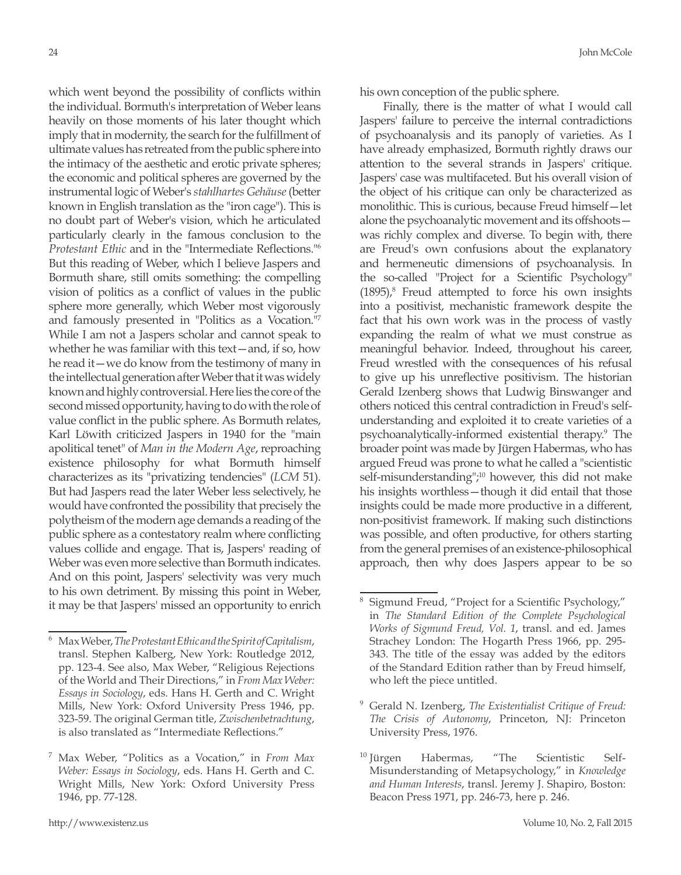which went beyond the possibility of conflicts within the individual. Bormuth's interpretation of Weber leans heavily on those moments of his later thought which imply that in modernity, the search for the fulfillment of ultimate values has retreated from the public sphere into the intimacy of the aesthetic and erotic private spheres; the economic and political spheres are governed by the instrumental logic of Weber's *stahlhartes Gehäuse* (better known in English translation as the "iron cage"). This is no doubt part of Weber's vision, which he articulated particularly clearly in the famous conclusion to the *Protestant Ethic* and in the "Intermediate Reflections."<sup>6</sup> But this reading of Weber, which I believe Jaspers and Bormuth share, still omits something: the compelling vision of politics as a conflict of values in the public sphere more generally, which Weber most vigorously and famously presented in "Politics as a Vocation."7 While I am not a Jaspers scholar and cannot speak to whether he was familiar with this text—and, if so, how he read it—we do know from the testimony of many in the intellectual generation after Weber that it was widely known and highly controversial. Here lies the core of the second missed opportunity, having to do with the role of value conflict in the public sphere. As Bormuth relates, Karl Löwith criticized Jaspers in 1940 for the "main apolitical tenet" of *Man in the Modern Age*, reproaching existence philosophy for what Bormuth himself characterizes as its "privatizing tendencies" (*LCM* 51). But had Jaspers read the later Weber less selectively, he would have confronted the possibility that precisely the polytheism of the modern age demands a reading of the public sphere as a contestatory realm where conflicting values collide and engage. That is, Jaspers' reading of Weber was even more selective than Bormuth indicates. And on this point, Jaspers' selectivity was very much to his own detriment. By missing this point in Weber, it may be that Jaspers' missed an opportunity to enrich

his own conception of the public sphere.

Finally, there is the matter of what I would call Jaspers' failure to perceive the internal contradictions of psychoanalysis and its panoply of varieties. As I have already emphasized, Bormuth rightly draws our attention to the several strands in Jaspers' critique. Jaspers' case was multifaceted. But his overall vision of the object of his critique can only be characterized as monolithic. This is curious, because Freud himself—let alone the psychoanalytic movement and its offshoots was richly complex and diverse. To begin with, there are Freud's own confusions about the explanatory and hermeneutic dimensions of psychoanalysis. In the so-called "Project for a Scientific Psychology"  $(1895)<sup>8</sup>$  Freud attempted to force his own insights into a positivist, mechanistic framework despite the fact that his own work was in the process of vastly expanding the realm of what we must construe as meaningful behavior. Indeed, throughout his career, Freud wrestled with the consequences of his refusal to give up his unreflective positivism. The historian Gerald Izenberg shows that Ludwig Binswanger and others noticed this central contradiction in Freud's selfunderstanding and exploited it to create varieties of a psychoanalytically-informed existential therapy.9 The broader point was made by Jürgen Habermas, who has argued Freud was prone to what he called a "scientistic self-misunderstanding",<sup>10</sup> however, this did not make his insights worthless—though it did entail that those insights could be made more productive in a different, non-positivist framework. If making such distinctions was possible, and often productive, for others starting from the general premises of an existence-philosophical approach, then why does Jaspers appear to be so

<sup>6</sup> Max Weber, *The Protestant Ethic and the Spirit of Capitalism*, transl. Stephen Kalberg, New York: Routledge 2012, pp. 123-4. See also, Max Weber, "Religious Rejections of the World and Their Directions," in *From Max Weber: Essays in Sociology*, eds. Hans H. Gerth and C. Wright Mills, New York: Oxford University Press 1946, pp. 323-59. The original German title, *Zwischenbetrachtung*, is also translated as "Intermediate Reflections."

<sup>7</sup> Max Weber, "Politics as a Vocation," in *From Max Weber: Essays in Sociology*, eds. Hans H. Gerth and C. Wright Mills, New York: Oxford University Press 1946, pp. 77-128.

Sigmund Freud, "Project for a Scientific Psychology," in *The Standard Edition of the Complete Psychological Works of Sigmund Freud, Vol. 1*, transl. and ed. James Strachey London: The Hogarth Press 1966, pp. 295- 343. The title of the essay was added by the editors of the Standard Edition rather than by Freud himself, who left the piece untitled.

<sup>9</sup> Gerald N. Izenberg, *The Existentialist Critique of Freud: The Crisis of Autonomy*, Princeton, NJ: Princeton University Press, 1976.

<sup>&</sup>lt;sup>10</sup> Jürgen Habermas, "The Scientistic Self-Misunderstanding of Metapsychology," in *Knowledge and Human Interests*, transl. Jeremy J. Shapiro, Boston: Beacon Press 1971, pp. 246-73, here p. 246.